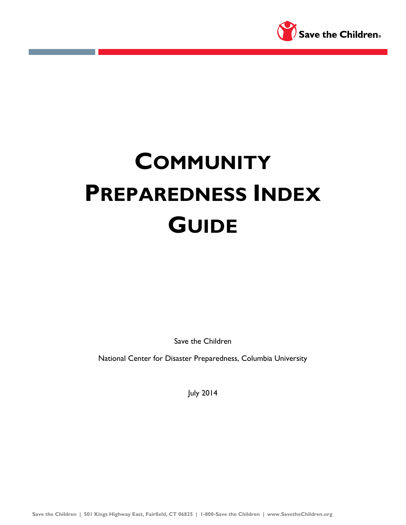

# **COMMUNITY PREPAREDNESS INDEX GUIDE**

Save the Children

National Center for Disaster Preparedness, Columbia University

July 2014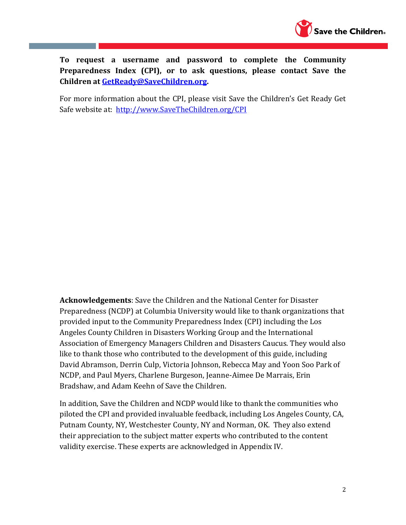

**To request a username and password to complete the Community Preparedness Index (CPI), or to ask questions, please contact Save the Children at [GetReady@SaveChildren.org.](mailto:GetReady@SaveChildren.org)**

For more information about the CPI, please visit Save the Children's Get Ready Get Safe website at: [http://www.SaveTheChildren.org/CPI](http://www.savethechildren.org/CPI)

**Acknowledgements**: Save the Children and the National Center for Disaster Preparedness (NCDP) at Columbia University would like to thank organizations that provided input to the Community Preparedness Index (CPI) including the Los Angeles County Children in Disasters Working Group and the International Association of Emergency Managers Children and Disasters Caucus. They would also like to thank those who contributed to the development of this guide, including David Abramson, Derrin Culp, Victoria Johnson, Rebecca May and Yoon Soo Park of NCDP, and Paul Myers, Charlene Burgeson, Jeanne-Aimee De Marrais, Erin Bradshaw, and Adam Keehn of Save the Children.

In addition, Save the Children and NCDP would like to thank the communities who piloted the CPI and provided invaluable feedback, including Los Angeles County, CA, Putnam County, NY, Westchester County, NY and Norman, OK. They also extend their appreciation to the subject matter experts who contributed to the content validity exercise. These experts are acknowledged in Appendix IV.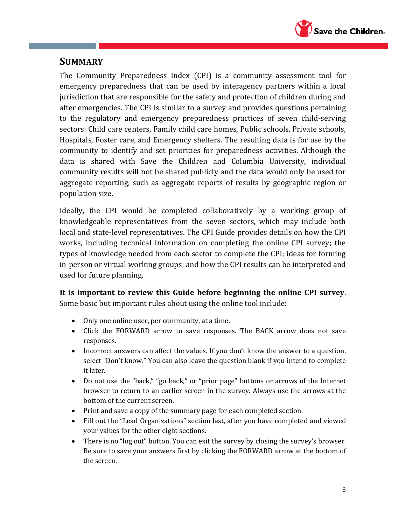

# **SUMMARY**

The Community Preparedness Index (CPI) is a community assessment tool for emergency preparedness that can be used by interagency partners within a local jurisdiction that are responsible for the safety and protection of children during and after emergencies. The CPI is similar to a survey and provides questions pertaining to the regulatory and emergency preparedness practices of seven child-serving sectors: Child care centers, Family child care homes, Public schools, Private schools, Hospitals, Foster care, and Emergency shelters. The resulting data is for use by the community to identify and set priorities for preparedness activities. Although the data is shared with Save the Children and Columbia University, individual community results will not be shared publicly and the data would only be used for aggregate reporting, such as aggregate reports of results by geographic region or population size.

Ideally, the CPI would be completed collaboratively by a working group of knowledgeable representatives from the seven sectors, which may include both local and state-level representatives. The CPI Guide provides details on how the CPI works, including technical information on completing the online CPI survey; the types of knowledge needed from each sector to complete the CPI; ideas for forming in-person or virtual working groups; and how the CPI results can be interpreted and used for future planning.

**It is important to review this Guide before beginning the online CPI survey**. Some basic but important rules about using the online tool include:

- Only one online user, per community, at a time.
- Click the FORWARD arrow to save responses. The BACK arrow does not save responses.
- Incorrect answers can affect the values. If you don't know the answer to a question, select "Don't know." You can also leave the question blank if you intend to complete it later.
- Do not use the "back," "go back," or "prior page" buttons or arrows of the Internet browser to return to an earlier screen in the survey. Always use the arrows at the bottom of the current screen.
- Print and save a copy of the summary page for each completed section.
- Fill out the "Lead Organizations" section last, after you have completed and viewed your values for the other eight sections.
- There is no "log out" button. You can exit the survey by closing the survey's browser. Be sure to save your answers first by clicking the FORWARD arrow at the bottom of the screen.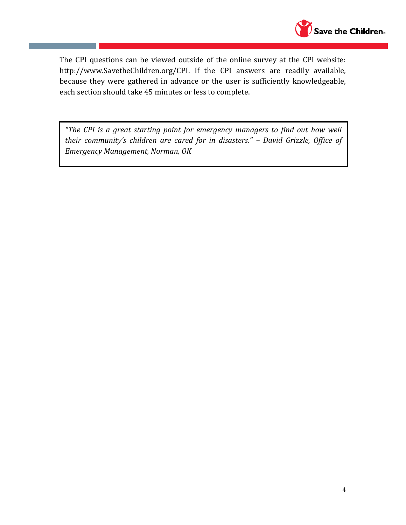

The CPI questions can be viewed outside of the online survey at the CPI website: http://www.SavetheChildren.org/CPI. If the CPI answers are readily available, because they were gathered in advance or the user is sufficiently knowledgeable, each section should take 45 minutes or less to complete.

*"The CPI is a great starting point for emergency managers to find out how well their community's children are cared for in disasters." – David Grizzle, Office of Emergency Management, Norman, OK*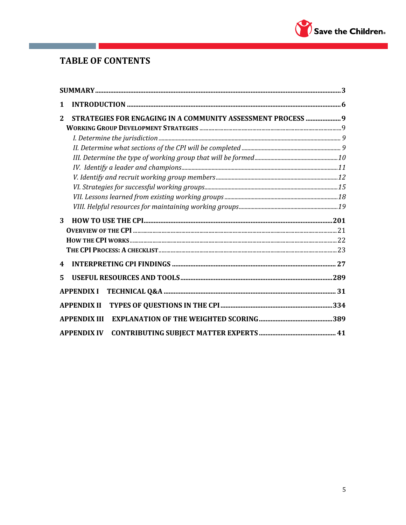

# **TABLE OF CONTENTS**

| 1 |                                                              |  |
|---|--------------------------------------------------------------|--|
| 2 | STRATEGIES FOR ENGAGING IN A COMMUNITY ASSESSMENT PROCESS  9 |  |
|   |                                                              |  |
|   |                                                              |  |
|   |                                                              |  |
|   |                                                              |  |
|   |                                                              |  |
|   |                                                              |  |
|   |                                                              |  |
|   |                                                              |  |
|   |                                                              |  |
| 3 |                                                              |  |
|   |                                                              |  |
|   |                                                              |  |
|   |                                                              |  |
| 4 |                                                              |  |
| 5 |                                                              |  |
|   | <b>APPENDIX I</b>                                            |  |
|   |                                                              |  |
|   | <b>APPENDIX III</b>                                          |  |
|   | <b>APPENDIX IV</b>                                           |  |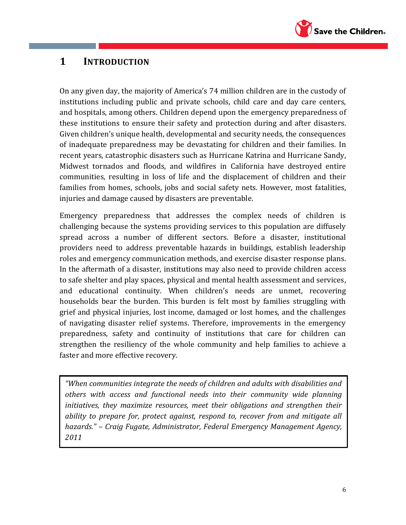

# **1 INTRODUCTION**

On any given day, the majority of America's 74 million children are in the custody of institutions including public and private schools, child care and day care centers, and hospitals, among others. Children depend upon the emergency preparedness of these institutions to ensure their safety and protection during and after disasters. Given children's unique health, developmental and security needs, the consequences of inadequate preparedness may be devastating for children and their families. In recent years, catastrophic disasters such as Hurricane Katrina and Hurricane Sandy, Midwest tornados and floods, and wildfires in California have destroyed entire communities, resulting in loss of life and the displacement of children and their families from homes, schools, jobs and social safety nets. However, most fatalities, injuries and damage caused by disasters are preventable.

Emergency preparedness that addresses the complex needs of children is challenging because the systems providing services to this population are diffusely spread across a number of different sectors. Before a disaster, institutional providers need to address preventable hazards in buildings, establish leadership roles and emergency communication methods, and exercise disaster response plans. In the aftermath of a disaster, institutions may also need to provide children access to safe shelter and play spaces, physical and mental health assessment and services, and educational continuity. When children's needs are unmet, recovering households bear the burden. This burden is felt most by families struggling with grief and physical injuries, lost income, damaged or lost homes, and the challenges of navigating disaster relief systems. Therefore, improvements in the emergency preparedness, safety and continuity of institutions that care for children can strengthen the resiliency of the whole community and help families to achieve a faster and more effective recovery.

*"When communities integrate the needs of children and adults with disabilities and others with access and functional needs into their community wide planning initiatives, they maximize resources, meet their obligations and strengthen their ability to prepare for, protect against, respond to, recover from and mitigate all hazards." – Craig Fugate, Administrator, Federal Emergency Management Agency, 2011*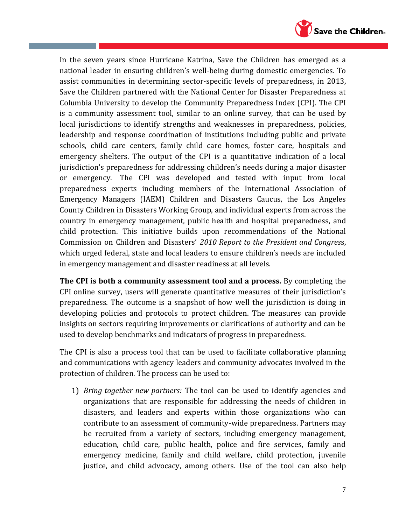

In the seven years since Hurricane Katrina, Save the Children has emerged as a national leader in ensuring children's well-being during domestic emergencies. To assist communities in determining sector-specific levels of preparedness, in 2013, Save the Children partnered with the National Center for Disaster Preparedness at Columbia University to develop the Community Preparedness Index (CPI). The CPI is a community assessment tool, similar to an online survey, that can be used by local jurisdictions to identify strengths and weaknesses in preparedness, policies, leadership and response coordination of institutions including public and private schools, child care centers, family child care homes, foster care, hospitals and emergency shelters. The output of the CPI is a quantitative indication of a local jurisdiction's preparedness for addressing children's needs during a major disaster or emergency. The CPI was developed and tested with input from local preparedness experts including members of the International Association of Emergency Managers (IAEM) Children and Disasters Caucus, the Los Angeles County Children in Disasters Working Group, and individual experts from across the country in emergency management, public health and hospital preparedness, and child protection. This initiative builds upon recommendations of the National Commission on Children and Disasters' *2010 Report to the President and Congres*s, which urged federal, state and local leaders to ensure children's needs are included in emergency management and disaster readiness at all levels.

**The CPI is both a community assessment tool and a process.** By completing the CPI online survey, users will generate quantitative measures of their jurisdiction's preparedness. The outcome is a snapshot of how well the jurisdiction is doing in developing policies and protocols to protect children. The measures can provide insights on sectors requiring improvements or clarifications of authority and can be used to develop benchmarks and indicators of progress in preparedness.

The CPI is also a process tool that can be used to facilitate collaborative planning and communications with agency leaders and community advocates involved in the protection of children. The process can be used to:

1) *Bring together new partners:* The tool can be used to identify agencies and organizations that are responsible for addressing the needs of children in disasters, and leaders and experts within those organizations who can contribute to an assessment of community-wide preparedness. Partners may be recruited from a variety of sectors, including emergency management, education, child care, public health, police and fire services, family and emergency medicine, family and child welfare, child protection, juvenile justice, and child advocacy, among others. Use of the tool can also help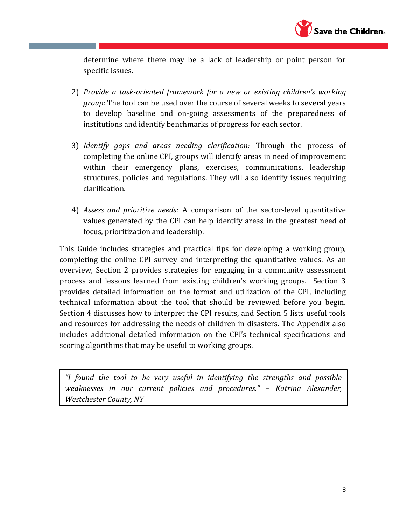

determine where there may be a lack of leadership or point person for specific issues.

- 2) *Provide a task-oriented framework for a new or existing children's working group:* The tool can be used over the course of several weeks to several years to develop baseline and on-going assessments of the preparedness of institutions and identify benchmarks of progress for each sector.
- 3) *Identify gaps and areas needing clarification:* Through the process of completing the online CPI, groups will identify areas in need of improvement within their emergency plans, exercises, communications, leadership structures, policies and regulations. They will also identify issues requiring clarification.
- 4) *Assess and prioritize needs:* A comparison of the sector-level quantitative values generated by the CPI can help identify areas in the greatest need of focus, prioritization and leadership.

This Guide includes strategies and practical tips for developing a working group, completing the online CPI survey and interpreting the quantitative values. As an overview, Section 2 provides strategies for engaging in a community assessment process and lessons learned from existing children's working groups. Section 3 provides detailed information on the format and utilization of the CPI, including technical information about the tool that should be reviewed before you begin. Section 4 discusses how to interpret the CPI results, and Section 5 lists useful tools and resources for addressing the needs of children in disasters. The Appendix also includes additional detailed information on the CPI's technical specifications and scoring algorithms that may be useful to working groups.

*"I found the tool to be very useful in identifying the strengths and possible weaknesses in our current policies and procedures." – Katrina Alexander, Westchester County, NY*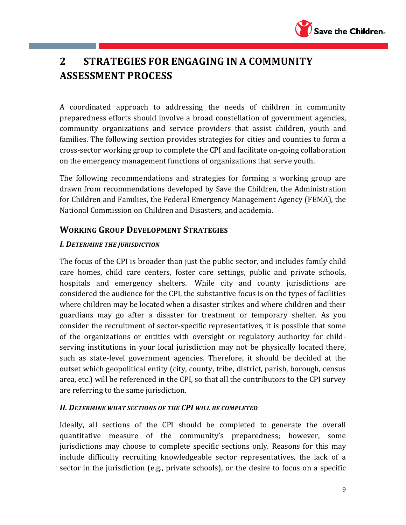

# **2 STRATEGIES FOR ENGAGING IN A COMMUNITY ASSESSMENT PROCESS**

A coordinated approach to addressing the needs of children in community preparedness efforts should involve a broad constellation of government agencies, community organizations and service providers that assist children, youth and families. The following section provides strategies for cities and counties to form a cross-sector working group to complete the CPI and facilitate on-going collaboration on the emergency management functions of organizations that serve youth.

The following recommendations and strategies for forming a working group are drawn from recommendations developed by Save the Children, the Administration for Children and Families, the Federal Emergency Management Agency (FEMA), the National Commission on Children and Disasters, and academia.

# **WORKING GROUP DEVELOPMENT STRATEGIES**

### *I. DETERMINE THE JURISDICTION*

The focus of the CPI is broader than just the public sector, and includes family child care homes, child care centers, foster care settings, public and private schools, hospitals and emergency shelters. While city and county jurisdictions are considered the audience for the CPI, the substantive focus is on the types of facilities where children may be located when a disaster strikes and where children and their guardians may go after a disaster for treatment or temporary shelter. As you consider the recruitment of sector-specific representatives, it is possible that some of the organizations or entities with oversight or regulatory authority for childserving institutions in your local jurisdiction may not be physically located there, such as state-level government agencies. Therefore, it should be decided at the outset which geopolitical entity (city, county, tribe, district, parish, borough, census area, etc.) will be referenced in the CPI, so that all the contributors to the CPI survey are referring to the same jurisdiction.

### *II. DETERMINE WHAT SECTIONS OF THE CPI WILL BE COMPLETED*

Ideally, all sections of the CPI should be completed to generate the overall quantitative measure of the community's preparedness; however, some jurisdictions may choose to complete specific sections only. Reasons for this may include difficulty recruiting knowledgeable sector representatives, the lack of a sector in the jurisdiction (e.g., private schools), or the desire to focus on a specific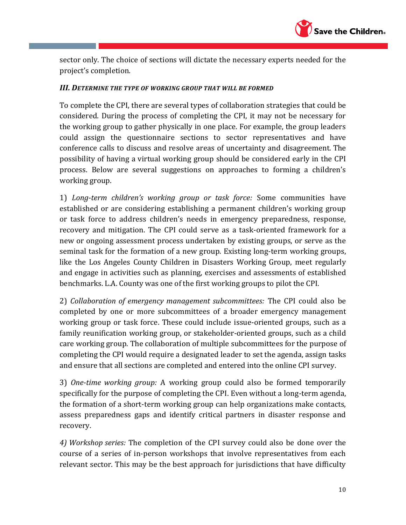

sector only. The choice of sections will dictate the necessary experts needed for the project's completion.

#### *III. DETERMINE THE TYPE OF WORKING GROUP THAT WILL BE FORMED*

To complete the CPI, there are several types of collaboration strategies that could be considered. During the process of completing the CPI, it may not be necessary for the working group to gather physically in one place. For example, the group leaders could assign the questionnaire sections to sector representatives and have conference calls to discuss and resolve areas of uncertainty and disagreement. The possibility of having a virtual working group should be considered early in the CPI process. Below are several suggestions on approaches to forming a children's working group.

1) *Long-term children's working group or task force:* Some communities have established or are considering establishing a permanent children's working group or task force to address children's needs in emergency preparedness, response, recovery and mitigation. The CPI could serve as a task-oriented framework for a new or ongoing assessment process undertaken by existing groups, or serve as the seminal task for the formation of a new group. Existing long-term working groups, like the Los Angeles County Children in Disasters Working Group, meet regularly and engage in activities such as planning, exercises and assessments of established benchmarks. L.A. County was one of the first working groups to pilot the CPI.

2) *Collaboration of emergency management subcommittees:* The CPI could also be completed by one or more subcommittees of a broader emergency management working group or task force. These could include issue-oriented groups, such as a family reunification working group, or stakeholder-oriented groups, such as a child care working group. The collaboration of multiple subcommittees for the purpose of completing the CPI would require a designated leader to set the agenda, assign tasks and ensure that all sections are completed and entered into the online CPI survey.

3) *One-time working group:* A working group could also be formed temporarily specifically for the purpose of completing the CPI. Even without a long-term agenda, the formation of a short-term working group can help organizations make contacts, assess preparedness gaps and identify critical partners in disaster response and recovery.

*4) Workshop series:* The completion of the CPI survey could also be done over the course of a series of in-person workshops that involve representatives from each relevant sector. This may be the best approach for jurisdictions that have difficulty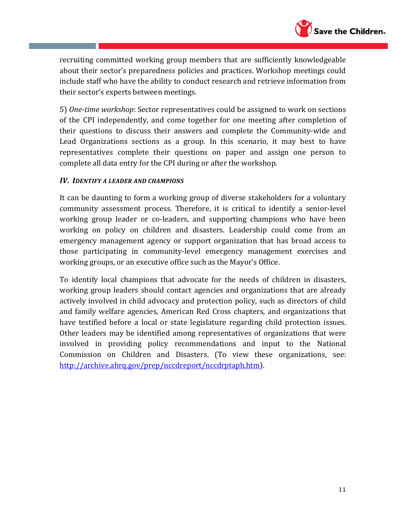

recruiting committed working group members that are sufficiently knowledgeable about their sector's preparedness policies and practices. Workshop meetings could include staff who have the ability to conduct research and retrieve information from their sector's experts between meetings.

5) *One-time workshop*: Sector representatives could be assigned to work on sections of the CPI independently, and come together for one meeting after completion of their questions to discuss their answers and complete the Community-wide and Lead Organizations sections as a group. In this scenario, it may best to have representatives complete their questions on paper and assign one person to complete all data entry for the CPI during or after the workshop.

#### *IV. IDENTIFY A LEADER AND CHAMPIONS*

It can be daunting to form a working group of diverse stakeholders for a voluntary community assessment process. Therefore, it is critical to identify a senior-level working group leader or co-leaders, and supporting champions who have been working on policy on children and disasters. Leadership could come from an emergency management agency or support organization that has broad access to those participating in community-level emergency management exercises and working groups, or an executive office such as the Mayor's Office.

To identify local champions that advocate for the needs of children in disasters, working group leaders should contact agencies and organizations that are already actively involved in child advocacy and protection policy, such as directors of child and family welfare agencies, American Red Cross chapters, and organizations that have testified before a local or state legislature regarding child protection issues. Other leaders may be identified among representatives of organizations that were involved in providing policy recommendations and input to the National Commission on Children and Disasters. (To view these organizations, see: [http://archive.ahrq.gov/prep/nccdreport/nccdrptaph.htm\)](http://archive.ahrq.gov/prep/nccdreport/nccdrptaph.htm).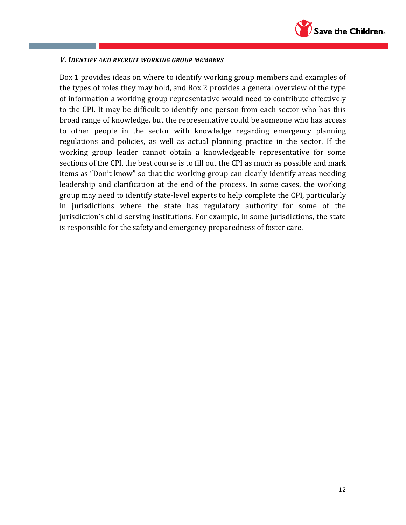

#### *V. IDENTIFY AND RECRUIT WORKING GROUP MEMBERS*

Box 1 provides ideas on where to identify working group members and examples of the types of roles they may hold, and Box 2 provides a general overview of the type of information a working group representative would need to contribute effectively to the CPI. It may be difficult to identify one person from each sector who has this broad range of knowledge, but the representative could be someone who has access to other people in the sector with knowledge regarding emergency planning regulations and policies, as well as actual planning practice in the sector. If the working group leader cannot obtain a knowledgeable representative for some sections of the CPI, the best course is to fill out the CPI as much as possible and mark items as "Don't know" so that the working group can clearly identify areas needing leadership and clarification at the end of the process. In some cases, the working group may need to identify state-level experts to help complete the CPI, particularly in jurisdictions where the state has regulatory authority for some of the jurisdiction's child-serving institutions. For example, in some jurisdictions, the state is responsible for the safety and emergency preparedness of foster care.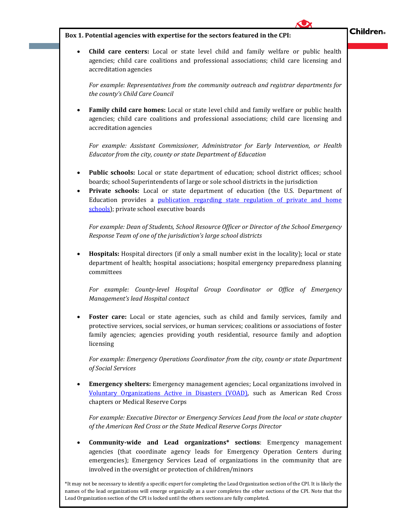

#### **Box 1. Potential agencies with expertise for the sectors featured in the CPI:**

 **Child care centers:** Local or state level child and family welfare or public health agencies; child care coalitions and professional associations; child care licensing and accreditation agencies

*For example: Representatives from the community outreach and registrar departments for the county's Child Care Council* 

 **Family child care homes:** Local or state level child and family welfare or public health agencies; child care coalitions and professional associations; child care licensing and accreditation agencies

*For example: Assistant Commissioner, Administrator for Early Intervention, or Health Educator from the city, county or state Department of Education*

- **Public schools:** Local or state department of education; school district offices; school boards; school Superintendents of large or sole school districts in the jurisdiction
- **Private schools:** Local or state department of education (the U.S. Department of Education provides a publication regarding state regulation of private and home [schools\)](https://www2.ed.gov/about/offices/list/oii/nonpublic/regulation-map.html); private school executive boards

*For example: Dean of Students, School Resource Officer or Director of the School Emergency Response Team of one of the jurisdiction's large school districts*

 **Hospitals:** Hospital directors (if only a small number exist in the locality); local or state department of health; hospital associations; hospital emergency preparedness planning committees

*For example: County-level Hospital Group Coordinator or Office of Emergency Management's lead Hospital contact* 

Foster care: Local or state agencies, such as child and family services, family and protective services, social services, or human services; coalitions or associations of foster family agencies; agencies providing youth residential, resource family and adoption licensing

*For example: Emergency Operations Coordinator from the city, county or state Department of Social Services* 

 **Emergency shelters:** Emergency management agencies; Local organizations involved in [Voluntary Organizations Active in Disasters \(VOAD\),](http://www.nvoad.org/) such as American Red Cross chapters or Medical Reserve Corps

*For example: Executive Director or Emergency Services Lead from the local or state chapter of the American Red Cross or the State Medical Reserve Corps Director*

 **Community-wide and Lead organizations\* sections**: Emergency management agencies (that coordinate agency leads for Emergency Operation Centers during emergencies); Emergency Services Lead of organizations in the community that are involved in the oversight or protection of children/minors

names of the lead organizations will emerge organically as a user completes the other sections of the CPI. Note that the \*It may not be necessary to identify a specific expert for completing the Lead Organization section of the CPI. It is likely the Lead Organization section of the CPI is locked until the others sections are fully completed.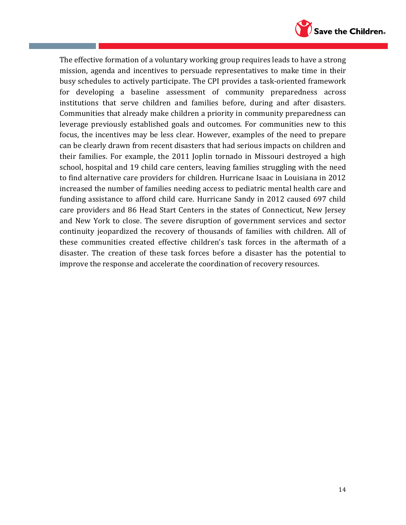

The effective formation of a voluntary working group requires leads to have a strong mission, agenda and incentives to persuade representatives to make time in their busy schedules to actively participate. The CPI provides a task-oriented framework for developing a baseline assessment of community preparedness across institutions that serve children and families before, during and after disasters. Communities that already make children a priority in community preparedness can leverage previously established goals and outcomes. For communities new to this focus, the incentives may be less clear. However, examples of the need to prepare can be clearly drawn from recent disasters that had serious impacts on children and their families. For example, the 2011 Joplin tornado in Missouri destroyed a high school, hospital and 19 child care centers, leaving families struggling with the need to find alternative care providers for children. Hurricane Isaac in Louisiana in 2012 increased the number of families needing access to pediatric mental health care and funding assistance to afford child care. Hurricane Sandy in 2012 caused 697 child care providers and 86 Head Start Centers in the states of Connecticut, New Jersey and New York to close. The severe disruption of government services and sector continuity jeopardized the recovery of thousands of families with children. All of these communities created effective children's task forces in the aftermath of a disaster. The creation of these task forces before a disaster has the potential to improve the response and accelerate the coordination of recovery resources.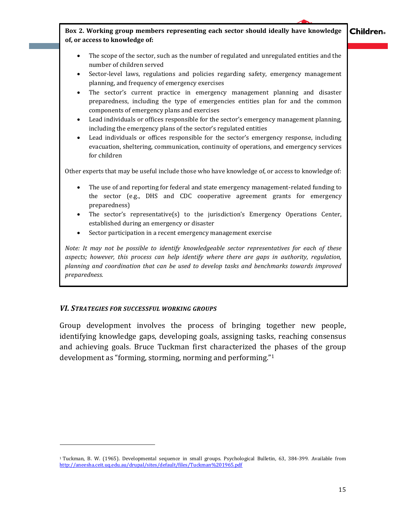**Children。** 

**Box 2. Working group members representing each sector should ideally have knowledge of, or access to knowledge of:**

- The scope of the sector, such as the number of regulated and unregulated entities and the number of children served
- Sector-level laws, regulations and policies regarding safety, emergency management planning, and frequency of emergency exercises
- The sector's current practice in emergency management planning and disaster preparedness, including the type of emergencies entities plan for and the common components of emergency plans and exercises
- Lead individuals or offices responsible for the sector's emergency management planning, including the emergency plans of the sector's regulated entities
- Lead individuals or offices responsible for the sector's emergency response, including evacuation, sheltering, communication, continuity of operations, and emergency services for children

Other experts that may be useful include those who have knowledge of, or access to knowledge of:

- The use of and reporting for federal and state emergency management-related funding to the sector (e.g., DHS and CDC cooperative agreement grants for emergency preparedness)
- The sector's representative(s) to the jurisdiction's Emergency Operations Center, established during an emergency or disaster
- Sector participation in a recent emergency management exercise

*Note: It may not be possible to identify knowledgeable sector representatives for each of these aspects; however, this process can help identify where there are gaps in authority, regulation, planning and coordination that can be used to develop tasks and benchmarks towards improved preparedness.*

### *VI. STRATEGIES FOR SUCCESSFUL WORKING GROUPS*

 $\overline{a}$ 

Group development involves the process of bringing together new people, identifying knowledge gaps, developing goals, assigning tasks, reaching consensus and achieving goals. Bruce Tuckman first characterized the phases of the group development as "forming, storming, norming and performing."<sup>1</sup>

<sup>1</sup> Tuckman, B. W. (1965). Developmental sequence in small groups. Psychological Bulletin, 63, 384-399. Available from <http://aneesha.ceit.uq.edu.au/drupal/sites/default/files/Tuckman%201965.pdf>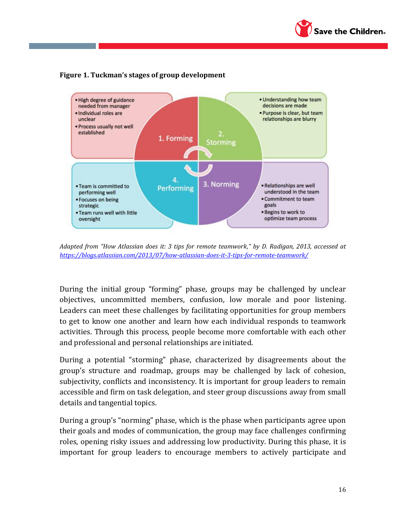





*Adapted from "How Atlassian does it: 3 tips for remote teamwork," by D. Radigan, 2013, accessed at <https://blogs.atlassian.com/2013/07/how-atlassian-does-it-3-tips-for-remote-teamwork/>*

During the initial group "forming" phase, groups may be challenged by unclear objectives, uncommitted members, confusion, low morale and poor listening. Leaders can meet these challenges by facilitating opportunities for group members to get to know one another and learn how each individual responds to teamwork activities. Through this process, people become more comfortable with each other and professional and personal relationships are initiated.

During a potential "storming" phase, characterized by disagreements about the group's structure and roadmap, groups may be challenged by lack of cohesion, subjectivity, conflicts and inconsistency. It is important for group leaders to remain accessible and firm on task delegation, and steer group discussions away from small details and tangential topics.

During a group's "norming" phase, which is the phase when participants agree upon their goals and modes of communication, the group may face challenges confirming roles, opening risky issues and addressing low productivity. During this phase, it is important for group leaders to encourage members to actively participate and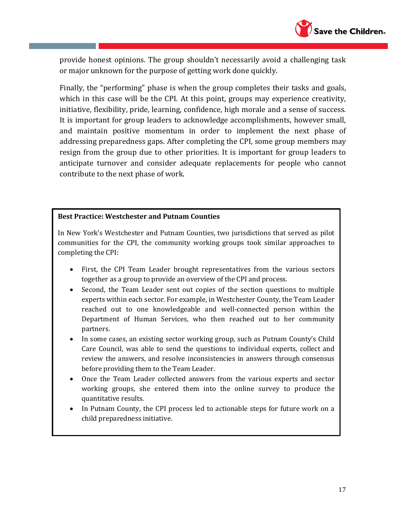

provide honest opinions. The group shouldn't necessarily avoid a challenging task or major unknown for the purpose of getting work done quickly.

Finally, the "performing" phase is when the group completes their tasks and goals, which in this case will be the CPI. At this point, groups may experience creativity, initiative, flexibility, pride, learning, confidence, high morale and a sense of success. It is important for group leaders to acknowledge accomplishments, however small, and maintain positive momentum in order to implement the next phase of addressing preparedness gaps. After completing the CPI, some group members may resign from the group due to other priorities. It is important for group leaders to anticipate turnover and consider adequate replacements for people who cannot contribute to the next phase of work.

#### **Best Practice: Westchester and Putnam Counties**

In New York's Westchester and Putnam Counties, two jurisdictions that served as pilot communities for the CPI, the community working groups took similar approaches to completing the CPI:

- First, the CPI Team Leader brought representatives from the various sectors together as a group to provide an overview of the CPI and process.
- Second, the Team Leader sent out copies of the section questions to multiple experts within each sector. For example, in Westchester County, the Team Leader reached out to one knowledgeable and well-connected person within the Department of Human Services, who then reached out to her community partners.
- In some cases, an existing sector working group, such as Putnam County's Child Care Council, was able to send the questions to individual experts, collect and review the answers, and resolve inconsistencies in answers through consensus before providing them to the Team Leader.
- Once the Team Leader collected answers from the various experts and sector working groups, she entered them into the online survey to produce the quantitative results.
- In Putnam County, the CPI process led to actionable steps for future work on a child preparedness initiative.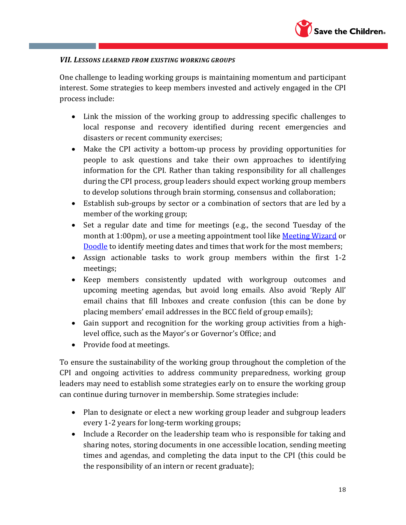

#### *VII. LESSONS LEARNED FROM EXISTING WORKING GROUPS*

One challenge to leading working groups is maintaining momentum and participant interest. Some strategies to keep members invested and actively engaged in the CPI process include:

- Link the mission of the working group to addressing specific challenges to local response and recovery identified during recent emergencies and disasters or recent community exercises;
- Make the CPI activity a bottom-up process by providing opportunities for people to ask questions and take their own approaches to identifying information for the CPI. Rather than taking responsibility for all challenges during the CPI process, group leaders should expect working group members to develop solutions through brain storming, consensus and collaboration;
- Establish sub-groups by sector or a combination of sectors that are led by a member of the working group;
- Set a regular date and time for meetings (e.g., the second Tuesday of the month at 1:00pm), or use a meeting appointment tool like [Meeting Wizard](https://www.meetingwizard.com/) or [Doodle](http://doodle.com/) to identify meeting dates and times that work for the most members;
- Assign actionable tasks to work group members within the first 1-2 meetings;
- Keep members consistently updated with workgroup outcomes and upcoming meeting agendas, but avoid long emails. Also avoid 'Reply All' email chains that fill Inboxes and create confusion (this can be done by placing members' email addresses in the BCC field of group emails);
- Gain support and recognition for the working group activities from a highlevel office, such as the Mayor's or Governor's Office; and
- Provide food at meetings.

To ensure the sustainability of the working group throughout the completion of the CPI and ongoing activities to address community preparedness, working group leaders may need to establish some strategies early on to ensure the working group can continue during turnover in membership. Some strategies include:

- Plan to designate or elect a new working group leader and subgroup leaders every 1-2 years for long-term working groups;
- Include a Recorder on the leadership team who is responsible for taking and sharing notes, storing documents in one accessible location, sending meeting times and agendas, and completing the data input to the CPI (this could be the responsibility of an intern or recent graduate);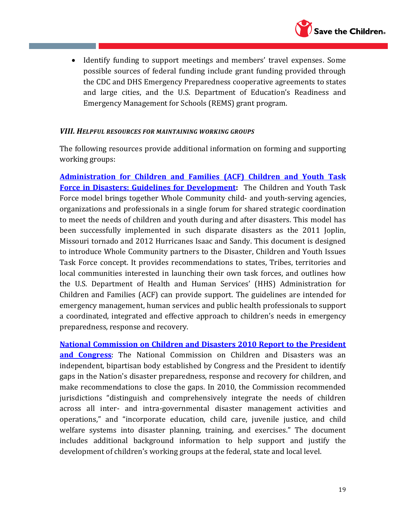

• Identify funding to support meetings and members' travel expenses. Some possible sources of federal funding include grant funding provided through the CDC and DHS Emergency Preparedness cooperative agreements to states and large cities, and the U.S. Department of Education's Readiness and Emergency Management for Schools (REMS) grant program.

#### *VIII. HELPFUL RESOURCES FOR MAINTAINING WORKING GROUPS*

The following resources provide additional information on forming and supporting working groups:

**[Administration for Children and Families \(ACF\) Children and Youth Task](https://www.acf.hhs.gov/sites/default/files/ohsepr/childrens_task_force_development_web.pdf)  [Force in Disasters: Guidelines for Development:](https://www.acf.hhs.gov/sites/default/files/ohsepr/childrens_task_force_development_web.pdf)** The Children and Youth Task Force model brings together Whole Community child- and youth-serving agencies, organizations and professionals in a single forum for shared strategic coordination to meet the needs of children and youth during and after disasters. This model has been successfully implemented in such disparate disasters as the 2011 Joplin, Missouri tornado and 2012 Hurricanes Isaac and Sandy. This document is designed to introduce Whole Community partners to the Disaster, Children and Youth Issues Task Force concept. It provides recommendations to states, Tribes, territories and local communities interested in launching their own task forces, and outlines how the U.S. Department of Health and Human Services' (HHS) Administration for Children and Families (ACF) can provide support. The guidelines are intended for emergency management, human services and public health professionals to support a coordinated, integrated and effective approach to children's needs in emergency preparedness, response and recovery.

**[National Commission on Children and Disasters 2010 Report to the President](http://archive.ahrq.gov/prep/nccdreport/)  [and Congress](http://archive.ahrq.gov/prep/nccdreport/)**: The National Commission on Children and Disasters was an independent, bipartisan body established by Congress and the President to identify gaps in the Nation's disaster preparedness, response and recovery for children, and make recommendations to close the gaps. In 2010, the Commission recommended jurisdictions "distinguish and comprehensively integrate the needs of children across all inter- and intra-governmental disaster management activities and operations," and "incorporate education, child care, juvenile justice, and child welfare systems into disaster planning, training, and exercises." The document includes additional background information to help support and justify the development of children's working groups at the federal, state and local level.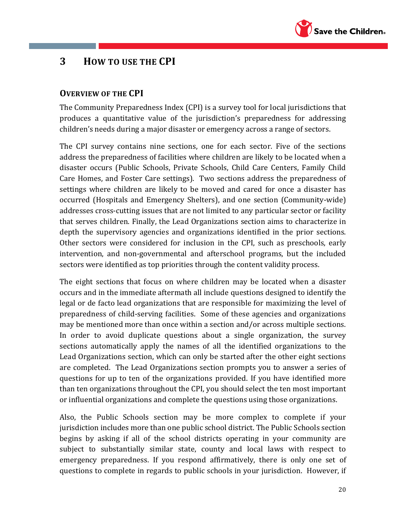

# **3 HOW TO USE THE CPI**

## **OVERVIEW OF THE CPI**

The Community Preparedness Index (CPI) is a survey tool for local jurisdictions that produces a quantitative value of the jurisdiction's preparedness for addressing children's needs during a major disaster or emergency across a range of sectors.

The CPI survey contains nine sections, one for each sector. Five of the sections address the preparedness of facilities where children are likely to be located when a disaster occurs (Public Schools, Private Schools, Child Care Centers, Family Child Care Homes, and Foster Care settings). Two sections address the preparedness of settings where children are likely to be moved and cared for once a disaster has occurred (Hospitals and Emergency Shelters), and one section (Community-wide) addresses cross-cutting issues that are not limited to any particular sector or facility that serves children. Finally, the Lead Organizations section aims to characterize in depth the supervisory agencies and organizations identified in the prior sections. Other sectors were considered for inclusion in the CPI, such as preschools, early intervention, and non-governmental and afterschool programs, but the included sectors were identified as top priorities through the content validity process.

The eight sections that focus on where children may be located when a disaster occurs and in the immediate aftermath all include questions designed to identify the legal or de facto lead organizations that are responsible for maximizing the level of preparedness of child-serving facilities. Some of these agencies and organizations may be mentioned more than once within a section and/or across multiple sections. In order to avoid duplicate questions about a single organization, the survey sections automatically apply the names of all the identified organizations to the Lead Organizations section, which can only be started after the other eight sections are completed. The Lead Organizations section prompts you to answer a series of questions for up to ten of the organizations provided. If you have identified more than ten organizations throughout the CPI, you should select the ten most important or influential organizations and complete the questions using those organizations.

Also, the Public Schools section may be more complex to complete if your jurisdiction includes more than one public school district. The Public Schools section begins by asking if all of the school districts operating in your community are subject to substantially similar state, county and local laws with respect to emergency preparedness. If you respond affirmatively, there is only one set of questions to complete in regards to public schools in your jurisdiction. However, if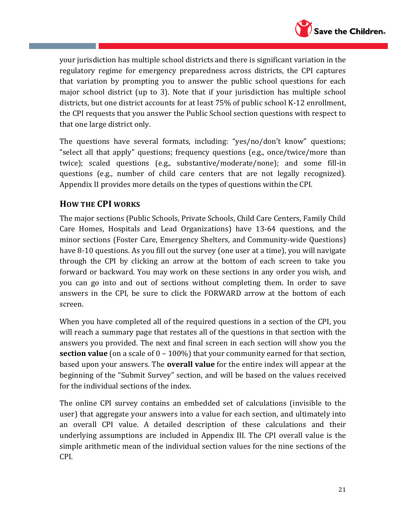

your jurisdiction has multiple school districts and there is significant variation in the regulatory regime for emergency preparedness across districts, the CPI captures that variation by prompting you to answer the public school questions for each major school district (up to 3). Note that if your jurisdiction has multiple school districts, but one district accounts for at least 75% of public school K-12 enrollment, the CPI requests that you answer the Public School section questions with respect to that one large district only.

The questions have several formats, including: "yes/no/don't know" questions; "select all that apply" questions; frequency questions (e.g., once/twice/more than twice); scaled questions (e.g., substantive/moderate/none); and some fill-in questions (e.g., number of child care centers that are not legally recognized). Appendix II provides more details on the types of questions within the CPI.

# **HOW THE CPI WORKS**

The major sections (Public Schools, Private Schools, Child Care Centers, Family Child Care Homes, Hospitals and Lead Organizations) have 13-64 questions, and the minor sections (Foster Care, Emergency Shelters, and Community-wide Questions) have 8-10 questions. As you fill out the survey (one user at a time), you will navigate through the CPI by clicking an arrow at the bottom of each screen to take you forward or backward. You may work on these sections in any order you wish, and you can go into and out of sections without completing them. In order to save answers in the CPI, be sure to click the FORWARD arrow at the bottom of each screen.

When you have completed all of the required questions in a section of the CPI, you will reach a summary page that restates all of the questions in that section with the answers you provided. The next and final screen in each section will show you the **section value** (on a scale of 0 – 100%) that your community earned for that section, based upon your answers. The **overall value** for the entire index will appear at the beginning of the "Submit Survey" section, and will be based on the values received for the individual sections of the index.

The online CPI survey contains an embedded set of calculations (invisible to the user) that aggregate your answers into a value for each section, and ultimately into an overall CPI value. A detailed description of these calculations and their underlying assumptions are included in Appendix III. The CPI overall value is the simple arithmetic mean of the individual section values for the nine sections of the CPI.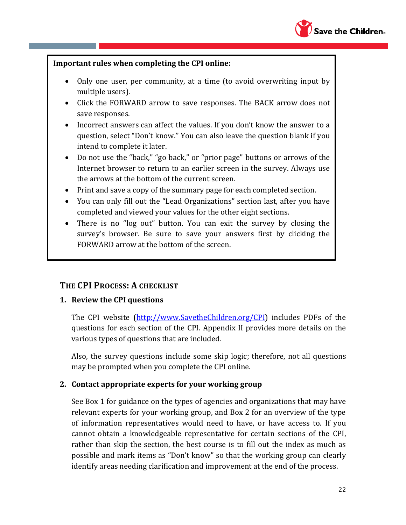

#### **Important rules when completing the CPI online:**

- Only one user, per community, at a time (to avoid overwriting input by multiple users).
- Click the FORWARD arrow to save responses. The BACK arrow does not save responses.
- Incorrect answers can affect the values. If you don't know the answer to a question, select "Don't know." You can also leave the question blank if you intend to complete it later.
- Do not use the "back," "go back," or "prior page" buttons or arrows of the Internet browser to return to an earlier screen in the survey. Always use the arrows at the bottom of the current screen.
- Print and save a copy of the summary page for each completed section.
- You can only fill out the "Lead Organizations" section last, after you have completed and viewed your values for the other eight sections.
- There is no "log out" button. You can exit the survey by closing the survey's browser. Be sure to save your answers first by clicking the FORWARD arrow at the bottom of the screen.

### **THE CPI PROCESS: A CHECKLIST**

### **1. Review the CPI questions**

The CPI website [\(http://www.SavetheChildren.org/CPI\)](http://www.savethechildren.org/CPI) includes PDFs of the questions for each section of the CPI. Appendix II provides more details on the various types of questions that are included.

Also, the survey questions include some skip logic; therefore, not all questions may be prompted when you complete the CPI online.

### **2. Contact appropriate experts for your working group**

See Box 1 for guidance on the types of agencies and organizations that may have relevant experts for your working group, and Box 2 for an overview of the type of information representatives would need to have, or have access to. If you cannot obtain a knowledgeable representative for certain sections of the CPI, rather than skip the section, the best course is to fill out the index as much as possible and mark items as "Don't know" so that the working group can clearly identify areas needing clarification and improvement at the end of the process.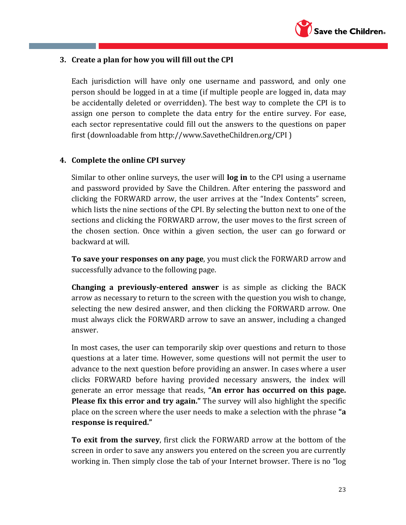

### **3. Create a plan for how you will fill out the CPI**

Each jurisdiction will have only one username and password, and only one person should be logged in at a time (if multiple people are logged in, data may be accidentally deleted or overridden). The best way to complete the CPI is to assign one person to complete the data entry for the entire survey. For ease, each sector representative could fill out the answers to the questions on paper first (downloadable from http://www.SavetheChildren.org/CPI )

### **4. Complete the online CPI survey**

Similar to other online surveys, the user will **log in** to the CPI using a username and password provided by Save the Children. After entering the password and clicking the FORWARD arrow, the user arrives at the "Index Contents" screen, which lists the nine sections of the CPI. By selecting the button next to one of the sections and clicking the FORWARD arrow, the user moves to the first screen of the chosen section. Once within a given section, the user can go forward or backward at will.

**To save your responses on any page**, you must click the FORWARD arrow and successfully advance to the following page.

**Changing a previously-entered answer** is as simple as clicking the BACK arrow as necessary to return to the screen with the question you wish to change, selecting the new desired answer, and then clicking the FORWARD arrow. One must always click the FORWARD arrow to save an answer, including a changed answer.

In most cases, the user can temporarily skip over questions and return to those questions at a later time. However, some questions will not permit the user to advance to the next question before providing an answer. In cases where a user clicks FORWARD before having provided necessary answers, the index will generate an error message that reads, **"An error has occurred on this page. Please fix this error and try again."** The survey will also highlight the specific place on the screen where the user needs to make a selection with the phrase **"a response is required."**

**To exit from the survey**, first click the FORWARD arrow at the bottom of the screen in order to save any answers you entered on the screen you are currently working in. Then simply close the tab of your Internet browser. There is no "log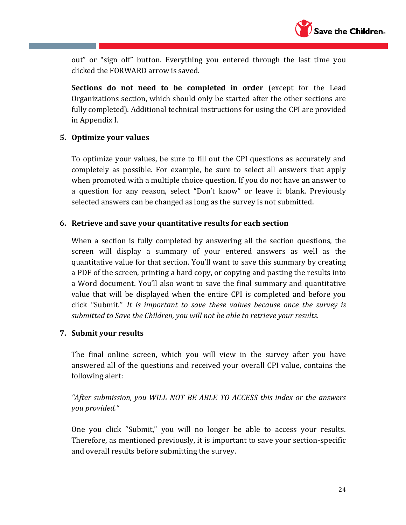

out" or "sign off" button. Everything you entered through the last time you clicked the FORWARD arrow is saved.

**Sections do not need to be completed in order** (except for the Lead Organizations section, which should only be started after the other sections are fully completed). Additional technical instructions for using the CPI are provided in Appendix I.

## **5. Optimize your values**

To optimize your values, be sure to fill out the CPI questions as accurately and completely as possible. For example, be sure to select all answers that apply when promoted with a multiple choice question. If you do not have an answer to a question for any reason, select "Don't know" or leave it blank. Previously selected answers can be changed as long as the survey is not submitted.

### **6. Retrieve and save your quantitative results for each section**

When a section is fully completed by answering all the section questions, the screen will display a summary of your entered answers as well as the quantitative value for that section. You'll want to save this summary by creating a PDF of the screen, printing a hard copy, or copying and pasting the results into a Word document. You'll also want to save the final summary and quantitative value that will be displayed when the entire CPI is completed and before you click "Submit." *It is important to save these values because once the survey is submitted to Save the Children, you will not be able to retrieve your results.* 

### **7. Submit your results**

The final online screen, which you will view in the survey after you have answered all of the questions and received your overall CPI value, contains the following alert:

*"After submission, you WILL NOT BE ABLE TO ACCESS this index or the answers you provided."*

One you click "Submit," you will no longer be able to access your results. Therefore, as mentioned previously, it is important to save your section-specific and overall results before submitting the survey.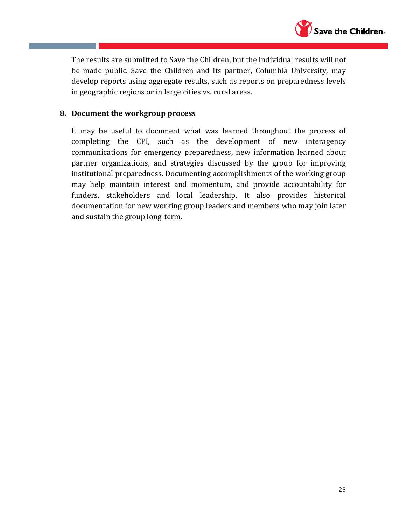

The results are submitted to Save the Children, but the individual results will not be made public. Save the Children and its partner, Columbia University, may develop reports using aggregate results, such as reports on preparedness levels in geographic regions or in large cities vs. rural areas.

#### **8. Document the workgroup process**

It may be useful to document what was learned throughout the process of completing the CPI, such as the development of new interagency communications for emergency preparedness, new information learned about partner organizations, and strategies discussed by the group for improving institutional preparedness. Documenting accomplishments of the working group may help maintain interest and momentum, and provide accountability for funders, stakeholders and local leadership. It also provides historical documentation for new working group leaders and members who may join later and sustain the group long-term.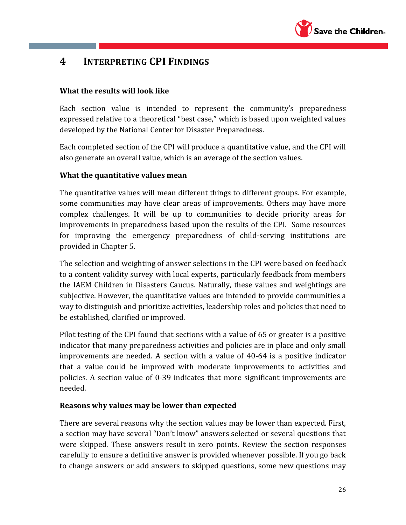

# **4 INTERPRETING CPI FINDINGS**

## **What the results will look like**

Each section value is intended to represent the community's preparedness expressed relative to a theoretical "best case," which is based upon weighted values developed by the National Center for Disaster Preparedness.

Each completed section of the CPI will produce a quantitative value, and the CPI will also generate an overall value, which is an average of the section values.

## **What the quantitative values mean**

The quantitative values will mean different things to different groups. For example, some communities may have clear areas of improvements. Others may have more complex challenges. It will be up to communities to decide priority areas for improvements in preparedness based upon the results of the CPI. Some resources for improving the emergency preparedness of child-serving institutions are provided in Chapter 5.

The selection and weighting of answer selections in the CPI were based on feedback to a content validity survey with local experts, particularly feedback from members the IAEM Children in Disasters Caucus. Naturally, these values and weightings are subjective. However, the quantitative values are intended to provide communities a way to distinguish and prioritize activities, leadership roles and policies that need to be established, clarified or improved.

Pilot testing of the CPI found that sections with a value of 65 or greater is a positive indicator that many preparedness activities and policies are in place and only small improvements are needed. A section with a value of 40-64 is a positive indicator that a value could be improved with moderate improvements to activities and policies. A section value of 0-39 indicates that more significant improvements are needed.

### **Reasons why values may be lower than expected**

There are several reasons why the section values may be lower than expected. First, a section may have several "Don't know" answers selected or several questions that were skipped. These answers result in zero points. Review the section responses carefully to ensure a definitive answer is provided whenever possible. If you go back to change answers or add answers to skipped questions, some new questions may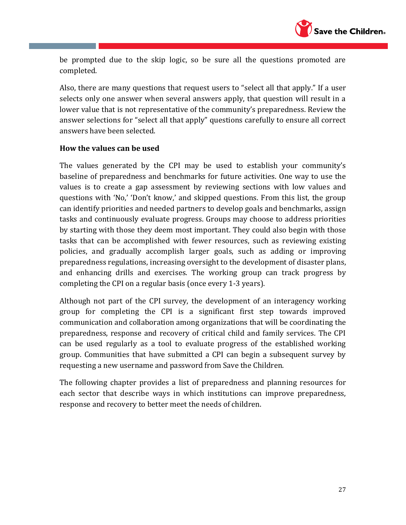

be prompted due to the skip logic, so be sure all the questions promoted are completed.

Also, there are many questions that request users to "select all that apply." If a user selects only one answer when several answers apply, that question will result in a lower value that is not representative of the community's preparedness. Review the answer selections for "select all that apply" questions carefully to ensure all correct answers have been selected.

#### **How the values can be used**

The values generated by the CPI may be used to establish your community's baseline of preparedness and benchmarks for future activities. One way to use the values is to create a gap assessment by reviewing sections with low values and questions with 'No,' 'Don't know,' and skipped questions. From this list, the group can identify priorities and needed partners to develop goals and benchmarks, assign tasks and continuously evaluate progress. Groups may choose to address priorities by starting with those they deem most important. They could also begin with those tasks that can be accomplished with fewer resources, such as reviewing existing policies, and gradually accomplish larger goals, such as adding or improving preparedness regulations, increasing oversight to the development of disaster plans, and enhancing drills and exercises. The working group can track progress by completing the CPI on a regular basis (once every 1-3 years).

Although not part of the CPI survey, the development of an interagency working group for completing the CPI is a significant first step towards improved communication and collaboration among organizations that will be coordinating the preparedness, response and recovery of critical child and family services. The CPI can be used regularly as a tool to evaluate progress of the established working group. Communities that have submitted a CPI can begin a subsequent survey by requesting a new username and password from Save the Children.

The following chapter provides a list of preparedness and planning resources for each sector that describe ways in which institutions can improve preparedness, response and recovery to better meet the needs of children.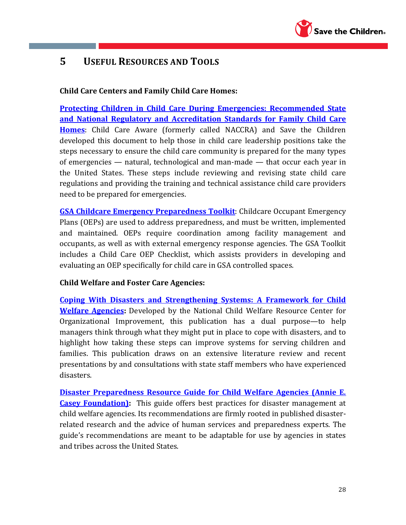

# **5 USEFUL RESOURCES AND TOOLS**

## **Child Care Centers and Family Child Care Homes:**

**Protecting Children [in Child Care During Emergencies: Recommended State](http://www.naccrra.org/sites/default/files/publications/naccrra_publications/2012/protectingchildreninchildcareemergencies.pdf)  [and National Regulatory and Accreditation Standards for Family Child Care](http://www.naccrra.org/sites/default/files/publications/naccrra_publications/2012/protectingchildreninchildcareemergencies.pdf)  [Homes](http://www.naccrra.org/sites/default/files/publications/naccrra_publications/2012/protectingchildreninchildcareemergencies.pdf)**: Child Care Aware (formerly called NACCRA) and Save the Children developed this document to help those in child care leadership positions take the steps necessary to ensure the child care community is prepared for the many types of emergencies — natural, technological and man-made — that occur each year in the United States. These steps include reviewing and revising state child care regulations and providing the training and technical assistance child care providers need to be prepared for emergencies.

**[GSA Childcare Emergency Preparedness Toolkit](http://www.gsa.gov/graphics/pbs/Child_Care_Emergency_Preparedness_Toolbox.pdf)**: Childcare Occupant Emergency Plans (OEPs) are used to address preparedness, and must be written, implemented and maintained. OEPs require coordination among facility management and occupants, as well as with external emergency response agencies. The GSA Toolkit includes a Child Care OEP Checklist, which assists providers in developing and evaluating an OEP specifically for child care in GSA controlled spaces.

### **Child Welfare and Foster Care Agencies:**

**[Coping With Disasters and Strengthening Systems: A Framework for Child](http://muskie.usm.maine.edu/helpkids/rcpdfs/copingwithdisasters.pdf)  [Welfare Agencies:](http://muskie.usm.maine.edu/helpkids/rcpdfs/copingwithdisasters.pdf)** Developed by the National Child Welfare Resource Center for Organizational Improvement, this publication has a dual purpose—to help managers think through what they might put in place to cope with disasters, and to highlight how taking these steps can improve systems for serving children and families. This publication draws on an extensive literature review and recent presentations by and consultations with state staff members who have experienced disasters.

**[Disaster Preparedness Resource Guide for Child Welfare Agencies \(Annie E.](https://folio.iupui.edu/bitstream/handle/10244/412/DisasterPrep.pdf)  [Casey Foundation\)](https://folio.iupui.edu/bitstream/handle/10244/412/DisasterPrep.pdf):** This guide offers best practices for disaster management at child welfare agencies. Its recommendations are firmly rooted in published disasterrelated research and the advice of human services and preparedness experts. The guide's recommendations are meant to be adaptable for use by agencies in states and tribes across the United States.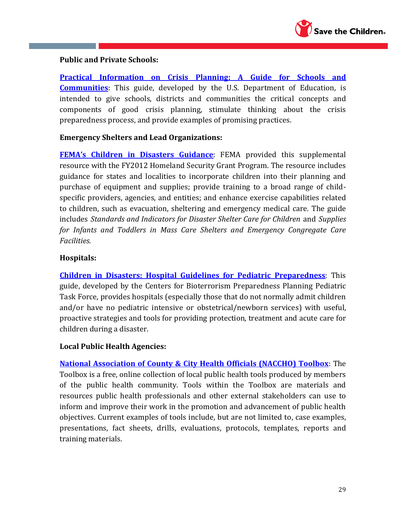

### **Public and Private Schools:**

**[Practical Information on Crisis Planning: A Guide for Schools and](http://www2.ed.gov/admins/lead/safety/emergencyplan/crisisplanning.pdf)  [Communities](http://www2.ed.gov/admins/lead/safety/emergencyplan/crisisplanning.pdf)**: This guide, developed by the U.S. Department of Education, is intended to give schools, districts and communities the critical concepts and components of good crisis planning, stimulate thinking about the crisis preparedness process, and provide examples of promising practices.

#### **Emergency Shelters and Lead Organizations:**

**[FEMA's Children in Disasters Guidance](http://www.fema.gov/pdf/government/grant/2012/fy12_hsgp_children.pdf)**: FEMA provided this supplemental resource with the FY2012 Homeland Security Grant Program. The resource includes guidance for states and localities to incorporate children into their planning and purchase of equipment and supplies; provide training to a broad range of childspecific providers, agencies, and entities; and enhance exercise capabilities related to children, such as evacuation, sheltering and emergency medical care. The guide includes *Standards and Indicators for Disaster Shelter Care for Children* and *Supplies for Infants and Toddlers in Mass Care Shelters and Emergency Congregate Care Facilities.*

#### **Hospitals:**

**[Children in Disasters: Hospital Guidelines for Pediatric Preparedness](http://www.nyc.gov/html/doh/downloads/pdf/bhpp/hepp-peds-childrenindisasters-010709.pdf)**: This guide, developed by the Centers for Bioterrorism Preparedness Planning Pediatric Task Force, provides hospitals (especially those that do not normally admit children and/or have no pediatric intensive or obstetrical/newborn services) with useful, proactive strategies and tools for providing protection, treatment and acute care for children during a disaster.

#### **Local Public Health Agencies:**

**[National Association of County & City Health Officials \(NACCHO\) Toolbox](http://www.naccho.org/toolbox/)**: The Toolbox is a free, online collection of local public health tools produced by members of the public health community. Tools within the Toolbox are materials and resources public health professionals and other external stakeholders can use to inform and improve their work in the promotion and advancement of public health objectives. Current examples of tools include, but are not limited to, case examples, presentations, fact sheets, drills, evaluations, protocols, templates, reports and training materials.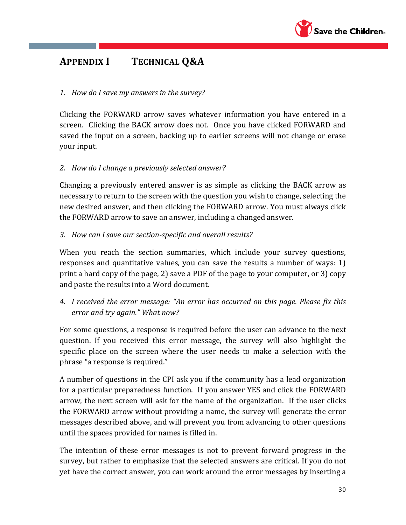

# **APPENDIX I TECHNICAL Q&A**

## *1. How do I save my answers in the survey?*

Clicking the FORWARD arrow saves whatever information you have entered in a screen. Clicking the BACK arrow does not. Once you have clicked FORWARD and saved the input on a screen, backing up to earlier screens will not change or erase your input.

## *2. How do I change a previously selected answer?*

Changing a previously entered answer is as simple as clicking the BACK arrow as necessary to return to the screen with the question you wish to change, selecting the new desired answer, and then clicking the FORWARD arrow. You must always click the FORWARD arrow to save an answer, including a changed answer.

## *3. How can I save our section-specific and overall results?*

When you reach the section summaries, which include your survey questions, responses and quantitative values, you can save the results a number of ways: 1) print a hard copy of the page, 2) save a PDF of the page to your computer, or 3) copy and paste the results into a Word document.

# *4. I received the error message: "An error has occurred on this page. Please fix this error and try again." What now?*

For some questions, a response is required before the user can advance to the next question. If you received this error message, the survey will also highlight the specific place on the screen where the user needs to make a selection with the phrase "a response is required."

A number of questions in the CPI ask you if the community has a lead organization for a particular preparedness function. If you answer YES and click the FORWARD arrow, the next screen will ask for the name of the organization. If the user clicks the FORWARD arrow without providing a name, the survey will generate the error messages described above, and will prevent you from advancing to other questions until the spaces provided for names is filled in.

The intention of these error messages is not to prevent forward progress in the survey, but rather to emphasize that the selected answers are critical. If you do not yet have the correct answer, you can work around the error messages by inserting a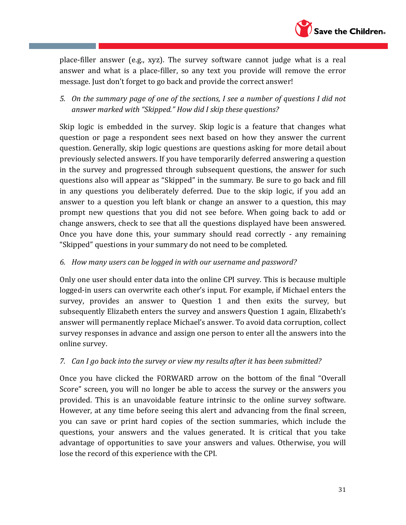

place-filler answer (e.g., xyz). The survey software cannot judge what is a real answer and what is a place-filler, so any text you provide will remove the error message. Just don't forget to go back and provide the correct answer!

*5. On the summary page of one of the sections, I see a number of questions I did not answer marked with "Skipped." How did I skip these questions?*

Skip logic is embedded in the survey. Skip logic is a feature that changes what question or page a respondent sees next based on how they answer the current question. Generally, skip logic questions are questions asking for more detail about previously selected answers. If you have temporarily deferred answering a question in the survey and progressed through subsequent questions, the answer for such questions also will appear as "Skipped" in the summary. Be sure to go back and fill in any questions you deliberately deferred. Due to the skip logic, if you add an answer to a question you left blank or change an answer to a question, this may prompt new questions that you did not see before. When going back to add or change answers, check to see that all the questions displayed have been answered. Once you have done this, your summary should read correctly - any remaining "Skipped" questions in your summary do not need to be completed.

## *6. How many users can be logged in with our username and password?*

Only one user should enter data into the online CPI survey. This is because multiple logged-in users can overwrite each other's input. For example, if Michael enters the survey, provides an answer to Question 1 and then exits the survey, but subsequently Elizabeth enters the survey and answers Question 1 again, Elizabeth's answer will permanently replace Michael's answer. To avoid data corruption, collect survey responses in advance and assign one person to enter all the answers into the online survey.

### *7. Can I go back into the survey or view my results after it has been submitted?*

Once you have clicked the FORWARD arrow on the bottom of the final "Overall Score" screen, you will no longer be able to access the survey or the answers you provided. This is an unavoidable feature intrinsic to the online survey software. However, at any time before seeing this alert and advancing from the final screen, you can save or print hard copies of the section summaries, which include the questions, your answers and the values generated. It is critical that you take advantage of opportunities to save your answers and values. Otherwise, you will lose the record of this experience with the CPI.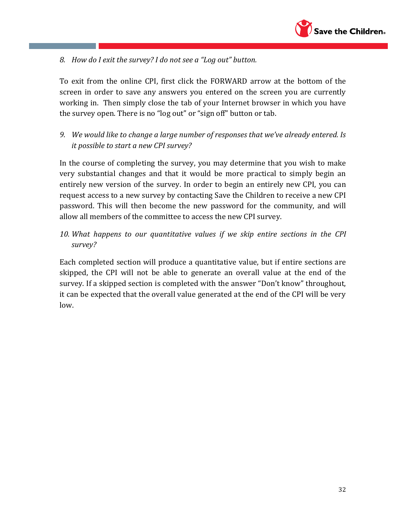

*8. How do I exit the survey? I do not see a "Log out" button.*

To exit from the online CPI, first click the FORWARD arrow at the bottom of the screen in order to save any answers you entered on the screen you are currently working in. Then simply close the tab of your Internet browser in which you have the survey open. There is no "log out" or "sign off" button or tab.

*9. We would like to change a large number of responses that we've already entered. Is it possible to start a new CPI survey?* 

In the course of completing the survey, you may determine that you wish to make very substantial changes and that it would be more practical to simply begin an entirely new version of the survey. In order to begin an entirely new CPI, you can request access to a new survey by contacting Save the Children to receive a new CPI password. This will then become the new password for the community, and will allow all members of the committee to access the new CPI survey.

*10. What happens to our quantitative values if we skip entire sections in the CPI survey?* 

Each completed section will produce a quantitative value, but if entire sections are skipped, the CPI will not be able to generate an overall value at the end of the survey. If a skipped section is completed with the answer "Don't know" throughout, it can be expected that the overall value generated at the end of the CPI will be very low.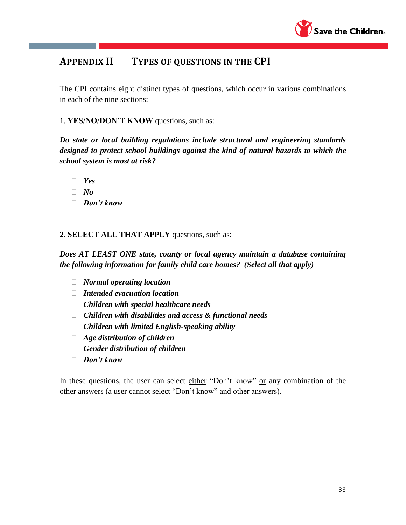

# **APPENDIX II TYPES OF QUESTIONS IN THE CPI**

The CPI contains eight distinct types of questions, which occur in various combinations in each of the nine sections:

1. **YES/NO/DON'T KNOW** questions, such as:

*Do state or local building regulations include structural and engineering standards designed to protect school buildings against the kind of natural hazards to which the school system is most at risk?*

- *Yes*
- *No*
- *Don't know*

#### **2**. **SELECT ALL THAT APPLY** questions, such as:

*Does AT LEAST ONE state, county or local agency maintain a database containing the following information for family child care homes? (Select all that apply)*

- *Normal operating location*
- *Intended evacuation location*
- *Children with special healthcare needs*
- *Children with disabilities and access & functional needs*
- *Children with limited English-speaking ability*
- *Age distribution of children*
- *Gender distribution of children*
- *Don't know*

In these questions, the user can select either "Don't know" or any combination of the other answers (a user cannot select "Don't know" and other answers).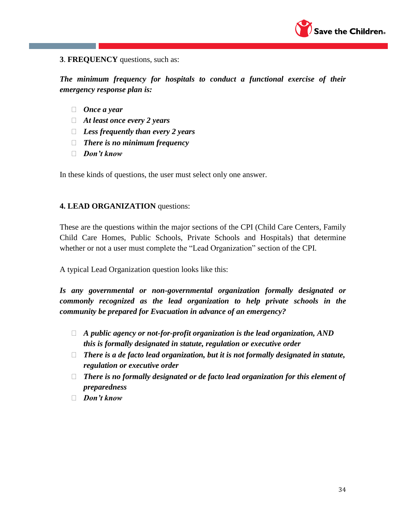

#### **3**. **FREQUENCY** questions, such as:

*The minimum frequency for hospitals to conduct a functional exercise of their emergency response plan is:*

- *Once a year*
- *At least once every 2 years*
- *Less frequently than every 2 years*
- *There is no minimum frequency*
- *Don't know*

In these kinds of questions, the user must select only one answer.

#### **4. LEAD ORGANIZATION** questions:

These are the questions within the major sections of the CPI (Child Care Centers, Family Child Care Homes, Public Schools, Private Schools and Hospitals) that determine whether or not a user must complete the "Lead Organization" section of the CPI.

A typical Lead Organization question looks like this:

*Is any governmental or non-governmental organization formally designated or commonly recognized as the lead organization to help private schools in the community be prepared for Evacuation in advance of an emergency?*

- *A public agency or not-for-profit organization is the lead organization, AND this is formally designated in statute, regulation or executive order*
- *There is a de facto lead organization, but it is not formally designated in statute, regulation or executive order*
- *There is no formally designated or de facto lead organization for this element of preparedness*
- *Don't know*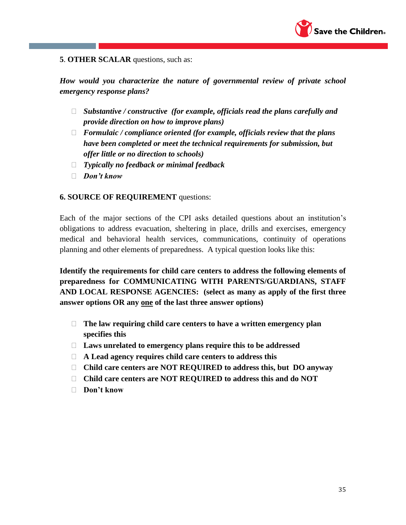

#### **5**. **OTHER SCALAR** questions, such as:

*How would you characterize the nature of governmental review of private school emergency response plans?* 

- *Substantive / constructive (for example, officials read the plans carefully and provide direction on how to improve plans)*
- *Formulaic / compliance oriented (for example, officials review that the plans have been completed or meet the technical requirements for submission, but offer little or no direction to schools)*
- *Typically no feedback or minimal feedback*
- *Don't know*

#### **6. SOURCE OF REQUIREMENT** questions:

Each of the major sections of the CPI asks detailed questions about an institution's obligations to address evacuation, sheltering in place, drills and exercises, emergency medical and behavioral health services, communications, continuity of operations planning and other elements of preparedness. A typical question looks like this:

**Identify the requirements for child care centers to address the following elements of preparedness for COMMUNICATING WITH PARENTS/GUARDIANS, STAFF AND LOCAL RESPONSE AGENCIES: (select as many as apply of the first three answer options OR any one of the last three answer options)** 

- **The law requiring child care centers to have a written emergency plan specifies this**
- **Laws unrelated to emergency plans require this to be addressed**
- **A Lead agency requires child care centers to address this**
- **Child care centers are NOT REQUIRED to address this, but DO anyway**
- **Child care centers are NOT REQUIRED to address this and do NOT**
- **Don't know**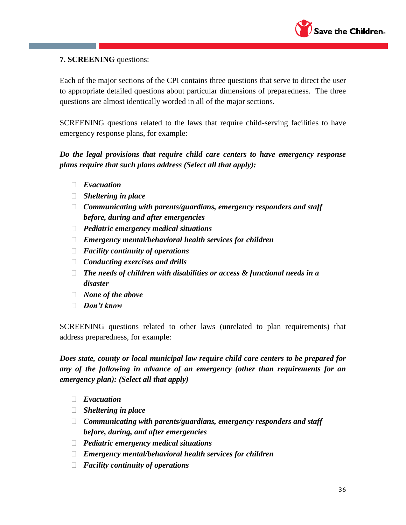

#### **7. SCREENING** questions:

Each of the major sections of the CPI contains three questions that serve to direct the user to appropriate detailed questions about particular dimensions of preparedness. The three questions are almost identically worded in all of the major sections.

SCREENING questions related to the laws that require child-serving facilities to have emergency response plans, for example:

## *Do the legal provisions that require child care centers to have emergency response plans require that such plans address (Select all that apply):*

- *Evacuation*
- *Sheltering in place*
- *Communicating with parents/guardians, emergency responders and staff before, during and after emergencies*
- *Pediatric emergency medical situations*
- *Emergency mental/behavioral health services for children*
- *Facility continuity of operations*
- *Conducting exercises and drills*
- *The needs of children with disabilities or access & functional needs in a disaster*
- *None of the above*
- *Don't know*

SCREENING questions related to other laws (unrelated to plan requirements) that address preparedness, for example:

*Does state, county or local municipal law require child care centers to be prepared for any of the following in advance of an emergency (other than requirements for an emergency plan): (Select all that apply)*

- *Evacuation*
- *Sheltering in place*
- *Communicating with parents/guardians, emergency responders and staff before, during, and after emergencies*
- *Pediatric emergency medical situations*
- *Emergency mental/behavioral health services for children*
- *Facility continuity of operations*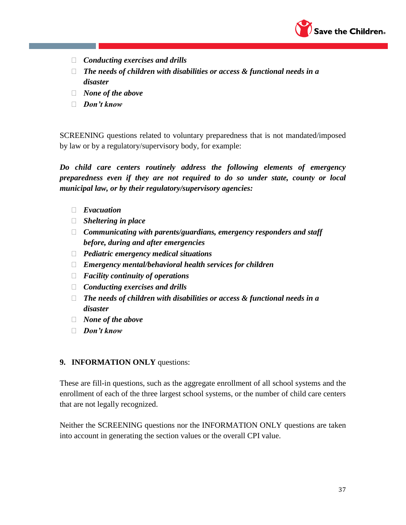

- *Conducting exercises and drills*
- *The needs of children with disabilities or access & functional needs in a disaster*
- *None of the above*
- *Don't know*

SCREENING questions related to voluntary preparedness that is not mandated/imposed by law or by a regulatory/supervisory body, for example:

*Do child care centers routinely address the following elements of emergency preparedness even if they are not required to do so under state, county or local municipal law, or by their regulatory/supervisory agencies:* 

- *Evacuation*
- *Sheltering in place*
- *Communicating with parents/guardians, emergency responders and staff before, during and after emergencies*
- *Pediatric emergency medical situations*
- *Emergency mental/behavioral health services for children*
- *Facility continuity of operations*
- *Conducting exercises and drills*
- *The needs of children with disabilities or access & functional needs in a disaster*
- *None of the above*
- *Don't know*

#### **9. INFORMATION ONLY** questions:

These are fill-in questions, such as the aggregate enrollment of all school systems and the enrollment of each of the three largest school systems, or the number of child care centers that are not legally recognized.

Neither the SCREENING questions nor the INFORMATION ONLY questions are taken into account in generating the section values or the overall CPI value.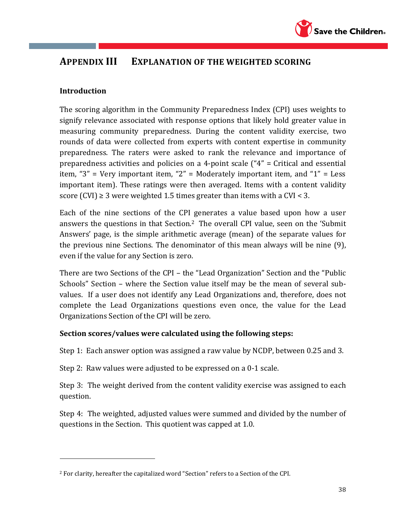

# **APPENDIX III EXPLANATION OF THE WEIGHTED SCORING**

## **Introduction**

 $\overline{a}$ 

The scoring algorithm in the Community Preparedness Index (CPI) uses weights to signify relevance associated with response options that likely hold greater value in measuring community preparedness. During the content validity exercise, two rounds of data were collected from experts with content expertise in community preparedness. The raters were asked to rank the relevance and importance of preparedness activities and policies on a 4-point scale ("4" = Critical and essential item, "3" = Very important item, "2" = Moderately important item, and "1" = Less important item). These ratings were then averaged. Items with a content validity score (CVI)  $\geq$  3 were weighted 1.5 times greater than items with a CVI < 3.

Each of the nine sections of the CPI generates a value based upon how a user answers the questions in that Section.2 The overall CPI value, seen on the 'Submit Answers' page, is the simple arithmetic average (mean) of the separate values for the previous nine Sections. The denominator of this mean always will be nine (9), even if the value for any Section is zero.

There are two Sections of the CPI – the "Lead Organization" Section and the "Public Schools" Section – where the Section value itself may be the mean of several subvalues. If a user does not identify any Lead Organizations and, therefore, does not complete the Lead Organizations questions even once, the value for the Lead Organizations Section of the CPI will be zero.

### **Section scores/values were calculated using the following steps:**

Step 1: Each answer option was assigned a raw value by NCDP, between 0.25 and 3.

Step 2: Raw values were adjusted to be expressed on a 0-1 scale.

Step 3: The weight derived from the content validity exercise was assigned to each question.

Step 4: The weighted, adjusted values were summed and divided by the number of questions in the Section. This quotient was capped at 1.0.

<sup>2</sup> For clarity, hereafter the capitalized word "Section" refers to a Section of the CPI.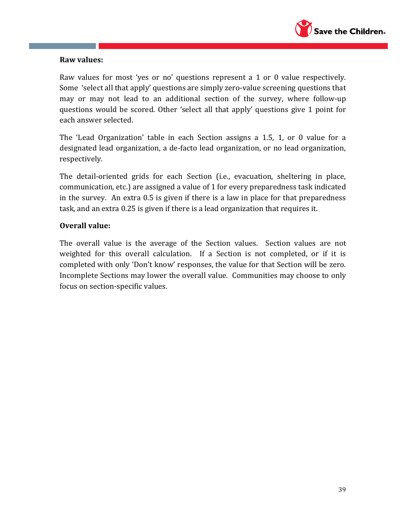

#### **Raw values:**

Raw values for most 'yes or no' questions represent a 1 or 0 value respectively. Some 'select all that apply' questions are simply zero-value screening questions that may or may not lead to an additional section of the survey, where follow-up questions would be scored. Other 'select all that apply' questions give 1 point for each answer selected.

The 'Lead Organization' table in each Section assigns a 1.5, 1, or 0 value for a designated lead organization, a de-facto lead organization, or no lead organization, respectively.

The detail-oriented grids for each Section (i.e., evacuation, sheltering in place, communication, etc.) are assigned a value of 1 for every preparedness task indicated in the survey. An extra 0.5 is given if there is a law in place for that preparedness task, and an extra 0.25 is given if there is a lead organization that requires it.

### **Overall value:**

The overall value is the average of the Section values. Section values are not weighted for this overall calculation. If a Section is not completed, or if it is completed with only 'Don't know' responses, the value for that Section will be zero. Incomplete Sections may lower the overall value. Communities may choose to only focus on section-specific values.